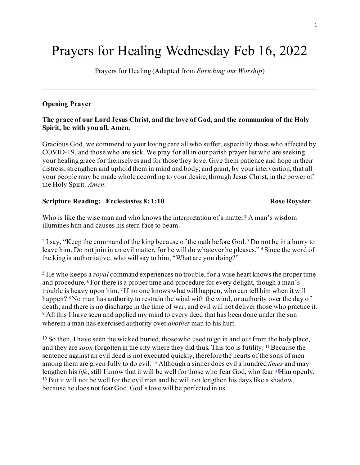# Prayers for Healing Wednesday Feb 16, 2022

Prayers for Healing (Adapted from *Enriching our Worship*)

### **Opening Prayer**

# **The grace of our Lord Jesus Christ, and the love of God, and the communion of the Holy Spirit, be with you all. Amen.**

Gracious God, we commend to your loving care all who suffer, especially those who affected by COVID-19, and those who are sick. We pray for all in our parish prayer list who are seeking your healing grace for themselves and for those they love. Give them patience and hope in their distress; strengthen and uphold them in mind and body; and grant, by your intervention, that all your people may be made whole according to your desire, through Jesus Christ, in the power of the Holy Spirit. *Amen.*

### **Scripture Reading:** Ecclesiastes 8:1:10 Rose Royster

Who is like the wise man and who knows the interpretation of a matter? A man's wisdom illumines him and causes his stern face to beam.

<sup>2</sup> I say, "Keep the command of the king because of the oath before God.<sup>3</sup> Do not be in a hurry to leave him. Do not join in an evil matter, for he will do whatever he pleases." <sup>4</sup> Since the word of the king is authoritative, who will say to him, "What are you doing?"

<sup>5</sup> He who keeps a *royal* command experiences no trouble, for a wise heart knows the proper time and procedure. 6For there is a proper time and procedure for every delight, though a man's trouble is heavy upon him. 7 If no one knows what will happen, who can tell him when it will happen? <sup>8</sup>No man has authority to restrain the wind with the wind, or authority over the day of death; and there is no discharge in the time of war, and evil will not deliver those who practice it. <sup>9</sup> All this I have seen and applied my mind to every deed that has been done under the sun wherein a man has exercised authority over *another* man to his hurt.

 $10$  So then, I have seen the wicked buried, those who used to go in and out from the holy place, and they are *soon* forgotten in the city where they did thus. This too is futility. <sup>11</sup> Because the sentence against an evil deed is not executed quickly, therefore the hearts of the sons of men among them are given fully to do evil. 12Although a sinner does evil a hundred *times* and may lengthen his *life*, still I know that it will be well for those who fear God, who fear [\[i](https://www.biblegateway.com/passage/?search=Ecclesiastes+8&version=NASB#fen-NASB-17471i)] Him openly.  $13$  But it will not be well for the evil man and he will not lengthen his days like a shadow, because he does not fear God. God's love will be perfected in us.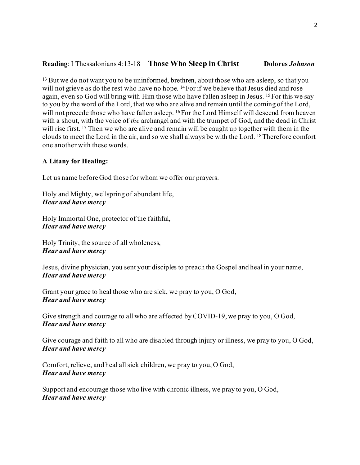# **Reading**: I Thessalonians 4:13-18 **Those Who Sleep in Christ Dolores** *Johnson*

<sup>13</sup> But we do not want you to be uninformed, brethren, about those who are asleep, so that you will not grieve as do the rest who have no hope. <sup>14</sup> For if we believe that Jesus died and rose again, even so God will bring with Him those who have fallen asleep in Jesus. 15For this we say to you by the word of the Lord, that we who are alive and remain until the coming of the Lord, will not precede those who have fallen asleep. <sup>16</sup> For the Lord Himself will descend from heaven with a shout, with the voice of *the* archangel and with the trumpet of God, and the dead in Christ will rise first. <sup>17</sup> Then we who are alive and remain will be caught up together with them in the clouds to meet the Lord in the air, and so we shall always be with the Lord. 18Therefore comfort one another with these words.

### **A Litany for Healing:**

Let us name before God those for whom we offer our prayers.

Holy and Mighty, wellspring of abundant life, *Hear and have mercy*

Holy Immortal One, protector of the faithful, *Hear and have mercy*

Holy Trinity, the source of all wholeness, *Hear and have mercy*

Jesus, divine physician, you sent your disciples to preach the Gospel and heal in your name, *Hear and have mercy*

Grant your grace to heal those who are sick, we pray to you, O God, *Hear and have mercy*

Give strength and courage to all who are affected by COVID-19, we pray to you, O God, *Hear and have mercy*

Give courage and faith to all who are disabled through injury or illness, we pray to you, O God, *Hear and have mercy*

Comfort, relieve, and heal all sick children, we pray to you, O God, *Hear and have mercy*

Support and encourage those who live with chronic illness, we pray to you, O God, *Hear and have mercy*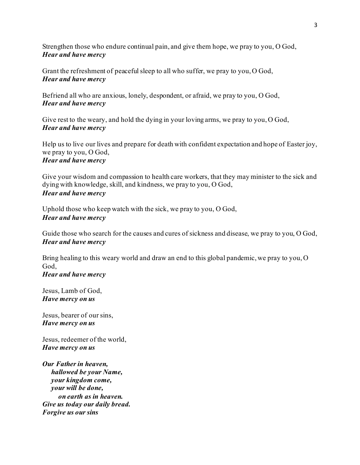Strengthen those who endure continual pain, and give them hope, we pray to you, O God, *Hear and have mercy*

Grant the refreshment of peaceful sleep to all who suffer, we pray to you, O God, *Hear and have mercy*

Befriend all who are anxious, lonely, despondent, or afraid, we pray to you, O God, *Hear and have mercy*

Give rest to the weary, and hold the dying in your loving arms, we pray to you, O God, *Hear and have mercy*

Help us to live our lives and prepare for death with confident expectation and hope of Easter joy, we pray to you, O God, *Hear and have mercy*

Give your wisdom and compassion to health care workers, that they may minister to the sick and dying with knowledge, skill, and kindness, we pray to you, O God, *Hear and have mercy*

Uphold those who keep watch with the sick, we pray to you, O God, *Hear and have mercy*

Guide those who search for the causes and cures of sickness and disease, we pray to you, O God, *Hear and have mercy*

Bring healing to this weary world and draw an end to this global pandemic, we pray to you, O God, *Hear and have mercy*

Jesus, Lamb of God, *Have mercy on us*

Jesus, bearer of our sins, *Have mercy on us*

Jesus, redeemer of the world, *Have mercy on us*

*Our Father in heaven, hallowed be your Name, your kingdom come, your will be done, on earth as in heaven. Give us today our daily bread. Forgive us our sins*